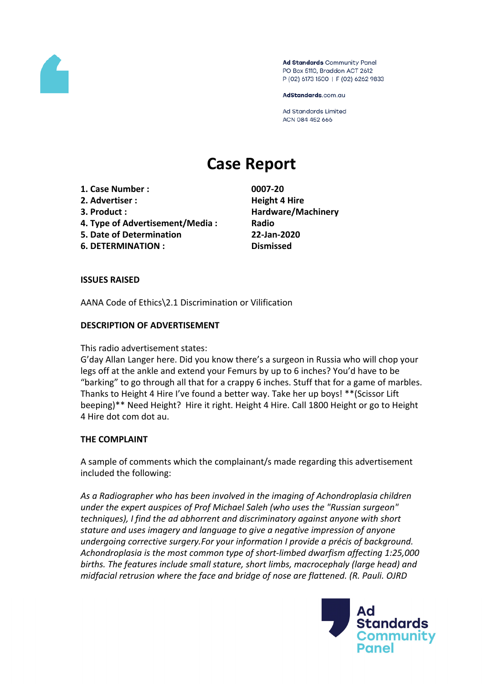

Ad Standards Community Panel PO Box 5110, Braddon ACT 2612 P (02) 6173 1500 | F (02) 6262 9833

AdStandards.com.au

**Ad Standards Limited** ACN 084 452 666

# **Case Report**

- **1. Case Number : 0007-20**
- **2. Advertiser : Height 4 Hire**
- 
- **4. Type of Advertisement/Media : Radio**
- **5. Date of Determination 22-Jan-2020**
- **6. DETERMINATION : Dismissed**

**3. Product : Hardware/Machinery**

## **ISSUES RAISED**

AANA Code of Ethics\2.1 Discrimination or Vilification

## **DESCRIPTION OF ADVERTISEMENT**

This radio advertisement states:

G'day Allan Langer here. Did you know there's a surgeon in Russia who will chop your legs off at the ankle and extend your Femurs by up to 6 inches? You'd have to be "barking" to go through all that for a crappy 6 inches. Stuff that for a game of marbles. Thanks to Height 4 Hire I've found a better way. Take her up boys! \*\*(Scissor Lift beeping)\*\* Need Height? Hire it right. Height 4 Hire. Call 1800 Height or go to Height 4 Hire dot com dot au.

## **THE COMPLAINT**

A sample of comments which the complainant/s made regarding this advertisement included the following:

*As a Radiographer who has been involved in the imaging of Achondroplasia children under the expert auspices of Prof Michael Saleh (who uses the "Russian surgeon" techniques), I find the ad abhorrent and discriminatory against anyone with short stature and uses imagery and language to give a negative impression of anyone undergoing corrective surgery.For your information I provide a précis of background. Achondroplasia is the most common type of short-limbed dwarfism affecting 1:25,000 births. The features include small stature, short limbs, macrocephaly (large head) and midfacial retrusion where the face and bridge of nose are flattened. (R. Pauli. OJRD*

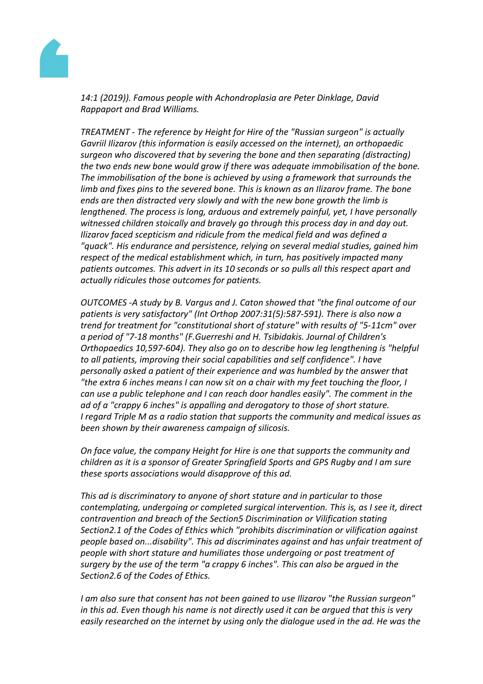

*14:1 (2019)). Famous people with Achondroplasia are Peter Dinklage, David Rappaport and Brad Williams.*

*TREATMENT - The reference by Height for Hire of the "Russian surgeon" is actually Gavriil Ilizarov (this information is easily accessed on the internet), an orthopaedic surgeon who discovered that by severing the bone and then separating (distracting) the two ends new bone would grow if there was adequate immobilisation of the bone. The immobilisation of the bone is achieved by using a framework that surrounds the limb and fixes pins to the severed bone. This is known as an Ilizarov frame. The bone ends are then distracted very slowly and with the new bone growth the limb is lengthened. The process is long, arduous and extremely painful, yet, I have personally witnessed children stoically and bravely go through this process day in and day out. Ilizarov faced scepticism and ridicule from the medical field and was defined a "quack". His endurance and persistence, relying on several medial studies, gained him respect of the medical establishment which, in turn, has positively impacted many patients outcomes. This advert in its 10 seconds or so pulls all this respect apart and actually ridicules those outcomes for patients.*

*OUTCOMES -A study by B. Vargus and J. Caton showed that "the final outcome of our patients is very satisfactory" (Int Orthop 2007:31(5):587-591). There is also now a trend for treatment for "constitutional short of stature" with results of "5-11cm" over a period of "7-18 months" (F.Guerreshi and H. Tsibidakis. Journal of Children's Orthopaedics 10,597-604). They also go on to describe how leg lengthening is "helpful to all patients, improving their social capabilities and self confidence". I have personally asked a patient of their experience and was humbled by the answer that "the extra 6 inches means I can now sit on a chair with my feet touching the floor, I can use a public telephone and I can reach door handles easily". The comment in the ad of a "crappy 6 inches" is appalling and derogatory to those of short stature. I regard Triple M as a radio station that supports the community and medical issues as been shown by their awareness campaign of silicosis.*

*On face value, the company Height for Hire is one that supports the community and children as it is a sponsor of Greater Springfield Sports and GPS Rugby and I am sure these sports associations would disapprove of this ad.*

*This ad is discriminatory to anyone of short stature and in particular to those contemplating, undergoing or completed surgical intervention. This is, as I see it, direct contravention and breach of the Section5 Discrimination or Vilification stating Section2.1 of the Codes of Ethics which "prohibits discrimination or vilification against people based on...disability". This ad discriminates against and has unfair treatment of people with short stature and humiliates those undergoing or post treatment of surgery by the use of the term "a crappy 6 inches". This can also be argued in the Section2.6 of the Codes of Ethics.*

*I am also sure that consent has not been gained to use Ilizarov "the Russian surgeon" in this ad. Even though his name is not directly used it can be argued that this is very easily researched on the internet by using only the dialogue used in the ad. He was the*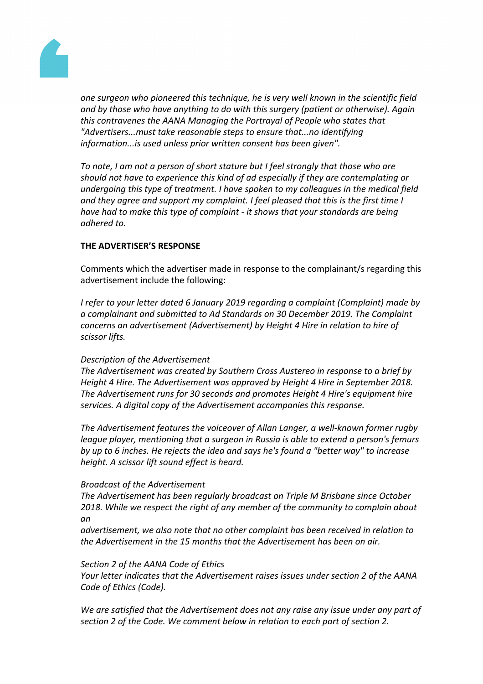

*one surgeon who pioneered this technique, he is very well known in the scientific field and by those who have anything to do with this surgery (patient or otherwise). Again this contravenes the AANA Managing the Portrayal of People who states that "Advertisers...must take reasonable steps to ensure that...no identifying information...is used unless prior written consent has been given".*

*To note, I am not a person of short stature but I feel strongly that those who are should not have to experience this kind of ad especially if they are contemplating or undergoing this type of treatment. I have spoken to my colleagues in the medical field and they agree and support my complaint. I feel pleased that this is the first time I have had to make this type of complaint - it shows that your standards are being adhered to.*

## **THE ADVERTISER'S RESPONSE**

Comments which the advertiser made in response to the complainant/s regarding this advertisement include the following:

*I refer to your letter dated 6 January 2019 regarding a complaint (Complaint) made by a complainant and submitted to Ad Standards on 30 December 2019. The Complaint concerns an advertisement (Advertisement) by Height 4 Hire in relation to hire of scissor lifts.*

## *Description of the Advertisement*

*The Advertisement was created by Southern Cross Austereo in response to a brief by Height 4 Hire. The Advertisement was approved by Height 4 Hire in September 2018. The Advertisement runs for 30 seconds and promotes Height 4 Hire's equipment hire services. A digital copy of the Advertisement accompanies this response.*

*The Advertisement features the voiceover of Allan Langer, a well-known former rugby league player, mentioning that a surgeon in Russia is able to extend a person's femurs by up to 6 inches. He rejects the idea and says he's found a "better way" to increase height. A scissor lift sound effect is heard.*

## *Broadcast of the Advertisement*

*The Advertisement has been regularly broadcast on Triple M Brisbane since October 2018. While we respect the right of any member of the community to complain about an*

*advertisement, we also note that no other complaint has been received in relation to the Advertisement in the 15 months that the Advertisement has been on air.*

#### *Section 2 of the AANA Code of Ethics*

*Your letter indicates that the Advertisement raises issues under section 2 of the AANA Code of Ethics (Code).*

*We are satisfied that the Advertisement does not any raise any issue under any part of section 2 of the Code. We comment below in relation to each part of section 2.*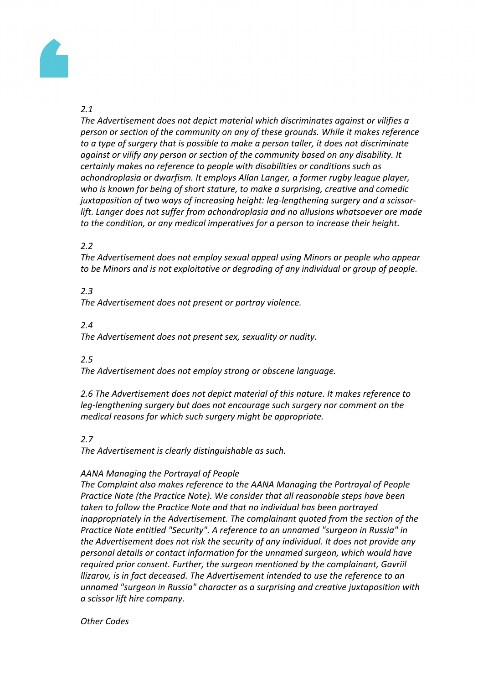

# *2.1*

*The Advertisement does not depict material which discriminates against or vilifies a person or section of the community on any of these grounds. While it makes reference to a type of surgery that is possible to make a person taller, it does not discriminate against or vilify any person or section of the community based on any disability. It certainly makes no reference to people with disabilities or conditions such as achondroplasia or dwarfism. It employs Allan Langer, a former rugby league player, who is known for being of short stature, to make a surprising, creative and comedic juxtaposition of two ways of increasing height: leg-lengthening surgery and a scissorlift. Langer does not suffer from achondroplasia and no allusions whatsoever are made to the condition, or any medical imperatives for a person to increase their height.*

## *2.2*

*The Advertisement does not employ sexual appeal using Minors or people who appear to be Minors and is not exploitative or degrading of any individual or group of people.*

## *2.3*

*The Advertisement does not present or portray violence.*

## *2.4*

*The Advertisement does not present sex, sexuality or nudity.*

## *2.5*

*The Advertisement does not employ strong or obscene language.*

*2.6 The Advertisement does not depict material of this nature. It makes reference to leg-lengthening surgery but does not encourage such surgery nor comment on the medical reasons for which such surgery might be appropriate.*

## *2.7*

*The Advertisement is clearly distinguishable as such.*

## *AANA Managing the Portrayal of People*

*The Complaint also makes reference to the AANA Managing the Portrayal of People Practice Note (the Practice Note). We consider that all reasonable steps have been taken to follow the Practice Note and that no individual has been portrayed inappropriately in the Advertisement. The complainant quoted from the section of the Practice Note entitled "Security". A reference to an unnamed "surgeon in Russia" in the Advertisement does not risk the security of any individual. It does not provide any personal details or contact information for the unnamed surgeon, which would have required prior consent. Further, the surgeon mentioned by the complainant, Gavriil llizarov, is in fact deceased. The Advertisement intended to use the reference to an unnamed "surgeon in Russia" character as a surprising and creative juxtaposition with a scissor lift hire company.*

*Other Codes*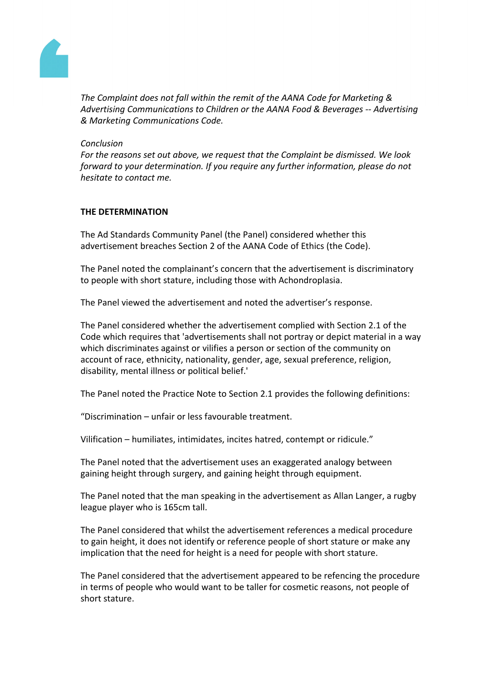

*The Complaint does not fall within the remit of the AANA Code for Marketing & Advertising Communications to Children or the AANA Food & Beverages -- Advertising & Marketing Communications Code.*

#### *Conclusion*

*For the reasons set out above, we request that the Complaint be dismissed. We look forward to your determination. If you require any further information, please do not hesitate to contact me.*

## **THE DETERMINATION**

The Ad Standards Community Panel (the Panel) considered whether this advertisement breaches Section 2 of the AANA Code of Ethics (the Code).

The Panel noted the complainant's concern that the advertisement is discriminatory to people with short stature, including those with Achondroplasia.

The Panel viewed the advertisement and noted the advertiser's response.

The Panel considered whether the advertisement complied with Section 2.1 of the Code which requires that 'advertisements shall not portray or depict material in a way which discriminates against or vilifies a person or section of the community on account of race, ethnicity, nationality, gender, age, sexual preference, religion, disability, mental illness or political belief.'

The Panel noted the Practice Note to Section 2.1 provides the following definitions:

"Discrimination – unfair or less favourable treatment.

Vilification – humiliates, intimidates, incites hatred, contempt or ridicule."

The Panel noted that the advertisement uses an exaggerated analogy between gaining height through surgery, and gaining height through equipment.

The Panel noted that the man speaking in the advertisement as Allan Langer, a rugby league player who is 165cm tall.

The Panel considered that whilst the advertisement references a medical procedure to gain height, it does not identify or reference people of short stature or make any implication that the need for height is a need for people with short stature.

The Panel considered that the advertisement appeared to be refencing the procedure in terms of people who would want to be taller for cosmetic reasons, not people of short stature.